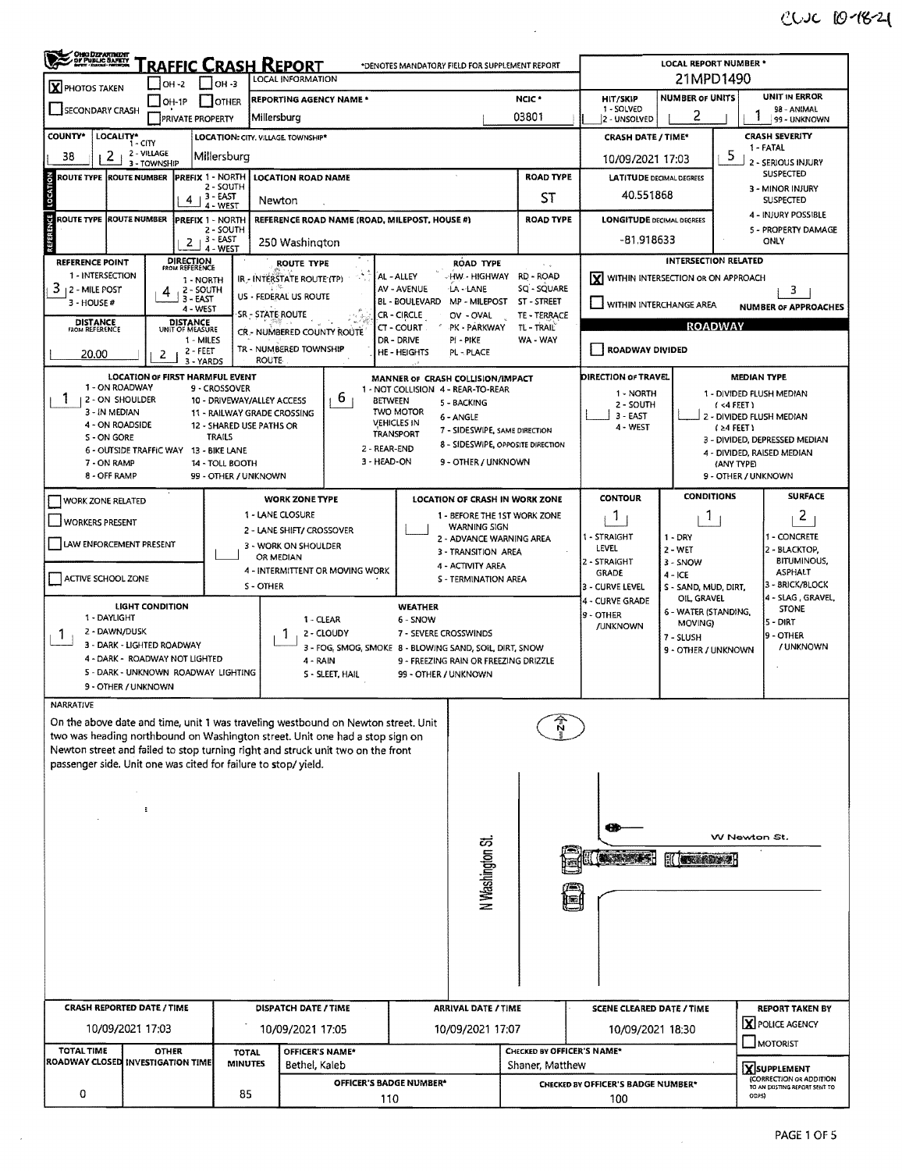| OHODEARTHUT                                                    |                                                            |                                                |                                                                  | RAFFIC CRASH REPORT                                       |                                                                                                                                                                 |                                        | *DENOTES MANDATORY FIELD FOR SUPPLEMENT REPORT                         |                                   |                                                | <b>LOCAL REPORT NUMBER *</b>        |                                   |                                                             |  |
|----------------------------------------------------------------|------------------------------------------------------------|------------------------------------------------|------------------------------------------------------------------|-----------------------------------------------------------|-----------------------------------------------------------------------------------------------------------------------------------------------------------------|----------------------------------------|------------------------------------------------------------------------|-----------------------------------|------------------------------------------------|-------------------------------------|-----------------------------------|-------------------------------------------------------------|--|
| X PHOTOS TAKEN                                                 |                                                            | ∣ ∣он-г                                        | $\bigcup$ OH -3                                                  | LOCAL INFORMATION                                         |                                                                                                                                                                 |                                        |                                                                        |                                   |                                                | 21MPD1490                           |                                   |                                                             |  |
| SECONDARY CRASH                                                |                                                            | $\Box$ OH-1P<br><b>PRIVATE PROPERTY</b>        | <b>I</b> JOTHER                                                  | Millersburg                                               | <b>REPORTING AGENCY NAME *</b>                                                                                                                                  |                                        |                                                                        | NCIC <sup>*</sup><br>03801        | HIT/SKIP<br>1 - SOLVED<br>2 - UNSOLVED         | <b>NUMBER OF UNITS</b><br>2         |                                   | UNIT IN ERROR<br>98 - ANIMAL<br>99 - UNKNOWN                |  |
| <b>COUNTY*</b>                                                 | LOCALITY*<br>1 - CITY                                      |                                                |                                                                  | LOCATION: CITY, VILLAGE, TOWNSHIP*                        |                                                                                                                                                                 |                                        |                                                                        |                                   | <b>CRASH DATE / TIME*</b>                      |                                     |                                   | <b>CRASH SEVERITY</b><br>1 - FATAL                          |  |
| 38<br>z                                                        | 2 - VILLAGE<br>3 - TOWNSHIP                                |                                                | Millersburg                                                      |                                                           |                                                                                                                                                                 |                                        |                                                                        |                                   | 10/09/2021 17:03                               |                                     | 5                                 | 2 - SERIOUS INJURY                                          |  |
| ROUTE TYPE  ROUTE NUMBER                                       |                                                            |                                                | <b>PREFIX 1 - NORTH</b><br>2 - SOUTH                             |                                                           | <b>LOCATION ROAD NAME</b>                                                                                                                                       |                                        |                                                                        | <b>ROAD TYPE</b>                  |                                                | <b>LATITUDE DECIMAL DEGREES</b>     |                                   | <b>SUSPECTED</b><br>3 - MINOR INJURY                        |  |
|                                                                |                                                            | 4                                              | $+3 - EAST$<br>4 - WEST                                          | Newton                                                    |                                                                                                                                                                 |                                        |                                                                        | <b>ST</b>                         | 40.551868                                      |                                     |                                   | <b>SUSPECTED</b>                                            |  |
| <b>ROUTE TYPE</b>                                              | <b>ROUTE NUMBER</b>                                        |                                                | <b>PREFIX 1 - NORTH</b><br>2 - SOUTH<br>$2 + \frac{3}{2}$ - EAST |                                                           | REFERENCE ROAD NAME (ROAD, MILEPOST, HOUSE #)                                                                                                                   |                                        |                                                                        | <b>ROAD TYPE</b>                  | <b>LONGITUDE DECIMAL DEGREES</b><br>-81.918633 |                                     |                                   | 4 - INJURY POSSIBLE<br>5 - PROPERTY DAMAGE<br>ONLY          |  |
| <b>REFERENCE POINT</b>                                         |                                                            | DIRECTION<br>FROM REFERENCE                    | 4 - WEST                                                         |                                                           | 250 Washington<br><b>ROUTE TYPE</b>                                                                                                                             |                                        | ROAD TYPE                                                              |                                   |                                                | <b>INTERSECTION RELATED</b>         |                                   |                                                             |  |
| 1 - INTERSECTION                                               |                                                            | 1 - NORTH                                      |                                                                  | IR - INTERSTATE ROUTE (TP)                                |                                                                                                                                                                 | AL - ALLEY                             | -HW - HIGHWAY                                                          | RD - ROAD                         | ΙX                                             | WITHIN INTERSECTION OR ON APPROACH  |                                   |                                                             |  |
| 3<br>  2 - MILE POST<br>3 - HOUSE #                            |                                                            | 2 - SOUTH<br>3 - EAST                          |                                                                  | US - FEDERAL US ROUTE                                     |                                                                                                                                                                 | AV - AVENUE<br><b>BL - BOULEVARD</b>   | LA - LANE<br>MP - MILEPOST                                             | SQ - SQUARE<br>ST - STREET        |                                                | WITHIN INTERCHANGE AREA             |                                   | 3.<br><b>NUMBER OF APPROACHES</b>                           |  |
| <b>DISTANCE</b><br>FROM REFERENCE                              |                                                            | 4 - WEST<br><b>DISTANCE</b><br>UNIT OF MEASURE |                                                                  | SR - STATE ROUTE                                          |                                                                                                                                                                 | CR - CIRCLE<br>CT - COURT              | OV - OVAL<br>PK - PARKWAY                                              | TE - TERRACE<br>TL - TRAIL        |                                                |                                     | <b>ROADWAY</b>                    |                                                             |  |
| 20.00                                                          |                                                            | 1 - MILES<br>$2 - FLET$<br>2                   |                                                                  | TR - NUMBERED TOWNSHIP                                    | CR - NUMBERED COUNTY ROUTE                                                                                                                                      | DR - DRIVE<br><b>HE-HEIGHTS</b>        | PI - PIKE<br>PL-PLACE                                                  | WA - WAY                          | ROADWAY DIVIDED                                |                                     |                                   |                                                             |  |
|                                                                |                                                            |                                                | 3 - YARDS                                                        | <b>ROUTE</b>                                              |                                                                                                                                                                 |                                        |                                                                        |                                   |                                                |                                     |                                   |                                                             |  |
|                                                                | <b>LOCATION OF FIRST HARMFUL EVENT</b><br>1 - ON ROADWAY   |                                                | 9 - CROSSOVER                                                    |                                                           |                                                                                                                                                                 |                                        | MANNER OF CRASH COLLISION/IMPACT<br>1 - NOT COLLISION 4 - REAR-TO-REAR |                                   | DIRECTION OF TRAVEL<br>1 - NORTH               |                                     | <b>MEDIAN TYPE</b>                | 1 - DIVIDED FLUSH MEDIAN                                    |  |
| Ŧ                                                              | 2 - ON SHOULDER<br>3 - IN MEDIAN                           |                                                |                                                                  | 10 - DRIVEWAY/ALLEY ACCESS<br>11 - RAILWAY GRADE CROSSING | b<br><b>BETWEEN</b>                                                                                                                                             | TWO MOTOR                              | 5 - BACKING<br>6 - ANGLE                                               |                                   | 2 - SOUTH<br>3 - EAST                          |                                     | $(4$ FEET)                        | 2 - DIVIDED FLUSH MEDIAN                                    |  |
| S - ON GORE                                                    | 4 - ON ROADSIDE                                            |                                                | <b>TRAILS</b>                                                    | 12 - SHARED USE PATHS OR                                  |                                                                                                                                                                 | <b>VEHICLES IN</b><br><b>TRANSPORT</b> | 7 - SIDESWIPE, SAME DIRECTION                                          |                                   | 4 - WEST                                       |                                     | $(24$ FEET)                       |                                                             |  |
|                                                                | 6 - OUTSIDE TRAFFIC WAY                                    |                                                | 13 - BIKE LANE                                                   |                                                           | 2 - REAR-END                                                                                                                                                    |                                        |                                                                        | 8 - SIDESWIPE, OPPOSITE DIRECTION |                                                |                                     |                                   | 3 - DIVIDED, DEPRESSED MEDIAN<br>4 - DIVIDED, RAISED MEDIAN |  |
| 7 - ON RAMP<br>8 - OFF RAMP                                    |                                                            |                                                | 14 - TOLL BOOTH<br>99 - OTHER / UNKNOWN                          |                                                           | 3 - HEAD-ON                                                                                                                                                     |                                        | 9 - OTHER / UNKNOWN                                                    |                                   |                                                |                                     | (ANY TYPE)<br>9 - OTHER / UNKNOWN |                                                             |  |
| <b>WORK ZONE RELATED</b>                                       |                                                            |                                                |                                                                  |                                                           | <b>WORK ZONE TYPE</b>                                                                                                                                           |                                        |                                                                        | LOCATION OF CRASH IN WORK ZONE    | <b>CONTOUR</b>                                 | <b>CONDITIONS</b>                   |                                   | <b>SURFACE</b>                                              |  |
| <b>WORKERS PRESENT</b>                                         |                                                            |                                                |                                                                  | 1 - LANE CLOSURE                                          |                                                                                                                                                                 |                                        |                                                                        | 1 - BEFORE THE 1ST WORK ZONE      | <sup>1</sup>                                   | <sup>1</sup>                        |                                   | $\overline{c}$                                              |  |
| <b>LAW ENFORCEMENT PRESENT</b>                                 |                                                            |                                                |                                                                  |                                                           | 2 - LANE SHIFT/ CROSSOVER                                                                                                                                       |                                        | <b>WARNING SIGN</b><br>2 - ADVANCE WARNING AREA                        |                                   | 1 - STRAIGHT                                   | $1 - DRY$                           |                                   | 1 - CONCRETE                                                |  |
|                                                                |                                                            |                                                |                                                                  | 3 - WORK ON SHOULDER<br>OR MEDIAN                         |                                                                                                                                                                 |                                        | 3 - TRANSITION AREA                                                    |                                   | LEVEL<br>2 - STRAIGHT                          | $2 - WET$<br>3 - SNOW               |                                   | 2 - BLACKTOP,<br><b>BITUMINOUS.</b>                         |  |
| ACTIVE SCHOOL ZONE                                             |                                                            |                                                |                                                                  |                                                           | 4 - INTERMITTENT OR MOVING WORK                                                                                                                                 |                                        | 4 - ACTIVITY AREA<br>S - TERMINATION AREA                              |                                   | <b>GRADE</b>                                   | $4 - ICE$                           |                                   | <b>ASPHALT</b><br>3 - BRICK/BLOCK                           |  |
|                                                                |                                                            |                                                |                                                                  | S - OTHER                                                 |                                                                                                                                                                 |                                        |                                                                        |                                   | 3 - CURVE LEVEL<br>4 - CURVE GRADE             | S - SAND, MUD, DIRT,<br>OIL, GRAVEL |                                   | 4 - SLAG , GRAVEL,                                          |  |
| 1 - DAYLIGHT                                                   | <b>LIGHT CONDITION</b>                                     |                                                |                                                                  |                                                           | 1 - CLEAR                                                                                                                                                       | <b>WEATHER</b><br>$6 -$ SNOW           |                                                                        |                                   | <b>19 - OTHER</b><br>/UNKNOWN                  | 6 - WATER (STANDING,<br>MOVING)     |                                   | <b>STONE</b><br>5 - DIRT                                    |  |
| L                                                              | 2 - DAWN/DUSK<br>3 - DARK - LIGHTED ROADWAY                |                                                |                                                                  |                                                           | 2 - CLOUDY                                                                                                                                                      | 7 - SEVERE CROSSWINDS                  |                                                                        |                                   |                                                | 7 - SLUSH                           |                                   | <b>9 - OTHER</b><br>/ UNKNOWN                               |  |
|                                                                | 4 - DARK - ROADWAY NOT LIGHTED                             |                                                |                                                                  |                                                           | 3 - FOG, SMOG, SMOKE 8 - BLOWING SAND, SOIL, DIRT, SNOW<br>4 - RAIN                                                                                             |                                        | 9 - FREEZING RAIN OR FREEZING DRIZZLE                                  |                                   |                                                | 9 - OTHER / UNKNOWN                 |                                   |                                                             |  |
|                                                                | 5 - DARK - UNKNOWN ROADWAY LIGHTING<br>9 - OTHER / UNKNOWN |                                                |                                                                  |                                                           | S - SLEET, HAIL                                                                                                                                                 | 99 - OTHER / UNKNOWN                   |                                                                        |                                   |                                                |                                     |                                   |                                                             |  |
| NARRATIVE                                                      |                                                            |                                                |                                                                  |                                                           |                                                                                                                                                                 |                                        |                                                                        |                                   |                                                |                                     |                                   |                                                             |  |
|                                                                |                                                            |                                                |                                                                  |                                                           | On the above date and time, unit 1 was traveling westbound on Newton street. Unit                                                                               |                                        |                                                                        |                                   |                                                |                                     |                                   |                                                             |  |
|                                                                |                                                            |                                                |                                                                  |                                                           | two was heading northbound on Washington street. Unit one had a stop sign on<br>Newton street and failed to stop turning right and struck unit two on the front |                                        |                                                                        |                                   |                                                |                                     |                                   |                                                             |  |
| passenger side. Unit one was cited for failure to stop/ yield. |                                                            |                                                |                                                                  |                                                           |                                                                                                                                                                 |                                        |                                                                        |                                   |                                                |                                     |                                   |                                                             |  |
|                                                                |                                                            |                                                |                                                                  |                                                           |                                                                                                                                                                 |                                        |                                                                        |                                   |                                                |                                     |                                   |                                                             |  |
|                                                                | ÷                                                          |                                                |                                                                  |                                                           |                                                                                                                                                                 |                                        |                                                                        |                                   |                                                |                                     |                                   |                                                             |  |
|                                                                |                                                            |                                                |                                                                  |                                                           |                                                                                                                                                                 |                                        |                                                                        |                                   |                                                |                                     | W Newton St.                      |                                                             |  |
|                                                                |                                                            |                                                |                                                                  |                                                           |                                                                                                                                                                 |                                        | N Washington St.                                                       |                                   |                                                |                                     |                                   |                                                             |  |
|                                                                |                                                            |                                                |                                                                  |                                                           |                                                                                                                                                                 |                                        |                                                                        |                                   | <b>IT (WEIGHTENDER)</b>                        |                                     |                                   |                                                             |  |
|                                                                |                                                            |                                                |                                                                  |                                                           |                                                                                                                                                                 |                                        |                                                                        |                                   |                                                |                                     |                                   |                                                             |  |
|                                                                |                                                            |                                                |                                                                  |                                                           |                                                                                                                                                                 |                                        |                                                                        |                                   |                                                |                                     |                                   |                                                             |  |
|                                                                |                                                            |                                                |                                                                  |                                                           |                                                                                                                                                                 |                                        |                                                                        |                                   |                                                |                                     |                                   |                                                             |  |
|                                                                |                                                            |                                                |                                                                  |                                                           |                                                                                                                                                                 |                                        |                                                                        |                                   |                                                |                                     |                                   |                                                             |  |
|                                                                |                                                            |                                                |                                                                  |                                                           |                                                                                                                                                                 |                                        |                                                                        |                                   |                                                |                                     |                                   |                                                             |  |
| <b>CRASH REPORTED DATE / TIME</b>                              |                                                            |                                                |                                                                  |                                                           | DISPATCH DATE / TIME                                                                                                                                            |                                        | <b>ARRIVAL DATE / TIME</b>                                             |                                   | <b>SCENE CLEARED DATE / TIME</b>               |                                     |                                   | <b>REPORT TAKEN BY</b>                                      |  |
|                                                                | 10/09/2021 17:03                                           |                                                |                                                                  |                                                           | 10/09/2021 17:05                                                                                                                                                |                                        | 10/09/2021 17:07                                                       |                                   | 10/09/2021 18:30                               |                                     |                                   | X POLICE AGENCY                                             |  |
| <b>TOTAL TIME</b>                                              |                                                            | <b>OTHER</b>                                   |                                                                  |                                                           | OFFICER'S NAME*                                                                                                                                                 |                                        |                                                                        | CHECKED BY OFFICER'S NAME*        |                                                |                                     |                                   | MOTORIST                                                    |  |
| ROADWAY CLOSED INVESTIGATION TIME                              |                                                            |                                                | <b>TOTAL</b><br><b>MINUTES</b>                                   |                                                           | Bethel, Kaleb                                                                                                                                                   |                                        |                                                                        | Shaner, Matthew                   |                                                |                                     |                                   | XSUPPLEMENT                                                 |  |
|                                                                |                                                            |                                                |                                                                  |                                                           | OFFICER'S BADGE NUMBER*                                                                                                                                         |                                        |                                                                        |                                   | CHECKED BY OFFICER'S BADGE NUMBER*             |                                     |                                   | (CORRECTION OR ADDITION<br>TO AN EXISTING REPORT SENT TO    |  |
| 0                                                              |                                                            |                                                | 85                                                               |                                                           | 110                                                                                                                                                             |                                        |                                                                        |                                   | 100                                            |                                     | ODPS)                             |                                                             |  |

 $\sim$   $\sim$ 

 $\sim 10$ 

 $\label{eq:2.1} \frac{1}{2} \sum_{i=1}^n \frac{1}{2} \sum_{j=1}^n \frac{1}{2} \sum_{j=1}^n \frac{1}{2} \sum_{j=1}^n \frac{1}{2} \sum_{j=1}^n \frac{1}{2} \sum_{j=1}^n \frac{1}{2} \sum_{j=1}^n \frac{1}{2} \sum_{j=1}^n \frac{1}{2} \sum_{j=1}^n \frac{1}{2} \sum_{j=1}^n \frac{1}{2} \sum_{j=1}^n \frac{1}{2} \sum_{j=1}^n \frac{1}{2} \sum_{j=1}^n \frac{$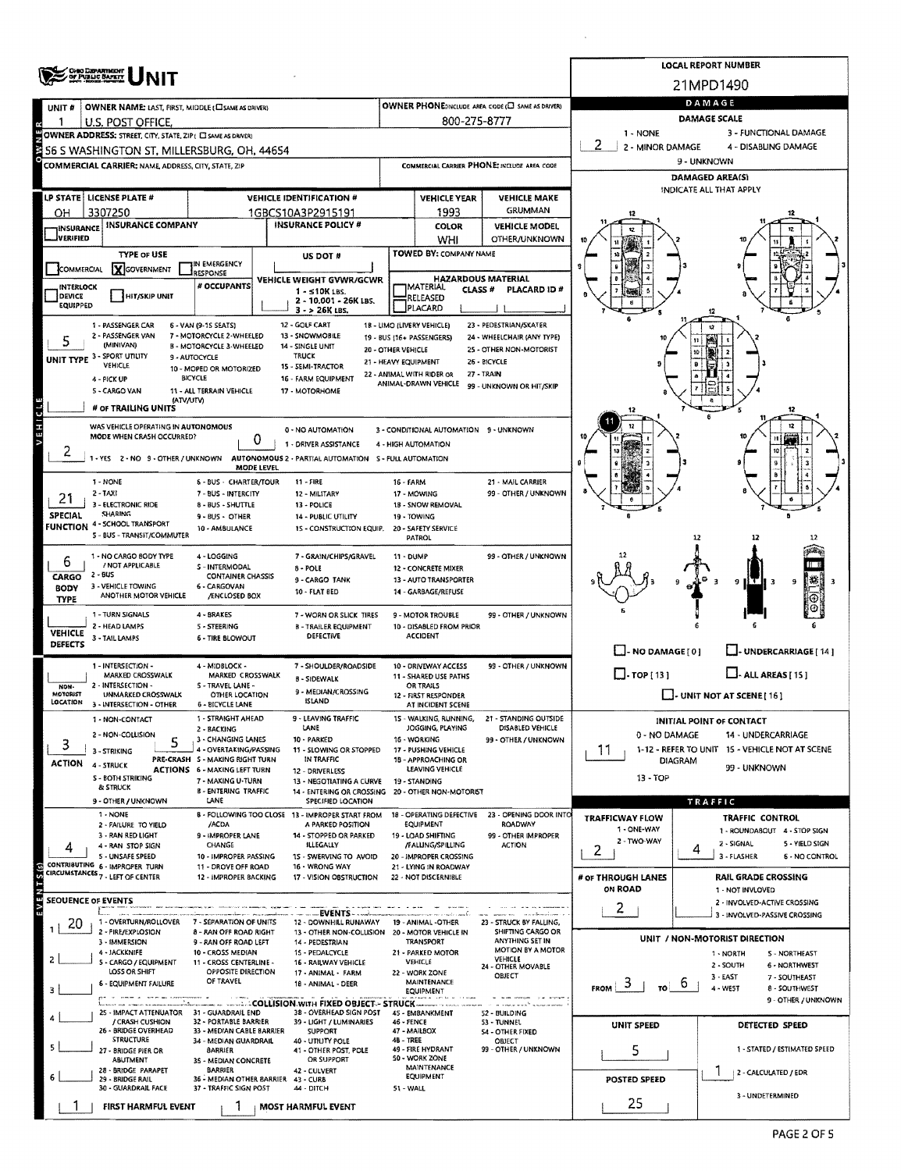|                                       |                                                            |                                                                        |                                                                         |                      |                                                         |                                                                               |                    | <b>LOCAL REPORT NUMBER</b>                                    |
|---------------------------------------|------------------------------------------------------------|------------------------------------------------------------------------|-------------------------------------------------------------------------|----------------------|---------------------------------------------------------|-------------------------------------------------------------------------------|--------------------|---------------------------------------------------------------|
|                                       | <b>OHO DEPARTMENT</b><br>OF PUBLIC BAPETT                  |                                                                        |                                                                         |                      |                                                         |                                                                               |                    | 21MPD1490                                                     |
| UNIT <sub>#</sub>                     | OWNER NAME: LAST, FIRST, MIDDLE (CI SAME AS DRIVER)        |                                                                        |                                                                         |                      |                                                         | OWNER PHONE: INCLUDE AREA CODE (E) SAME AS DRIVER)                            |                    | DAMAGE                                                        |
|                                       | U.S. POST OFFICE.                                          |                                                                        |                                                                         |                      | 800-275-8777                                            |                                                                               |                    | DAMAGE SCALE                                                  |
|                                       | OWNER ADDRESS: STREET, CITY, STATE, ZIP ( C SAME AS DAVER) |                                                                        |                                                                         |                      |                                                         |                                                                               | 1 - NONE           | 3 - FUNCTIONAL DAMAGE                                         |
| Z,                                    | S6 S WASHINGTON ST. MILLERSBURG, OH. 44654                 |                                                                        |                                                                         |                      |                                                         |                                                                               | 2 - MINOR DAMAGE   | 4 - DISABLING DAMAGE                                          |
|                                       | COMMERCIAL CARRIER: NAME, ADDRESS, CITY, STATE, ZIP        |                                                                        |                                                                         |                      |                                                         | COMMERCIAL CARRIER PHONE: INCLUDE AREA COOE                                   |                    | 9 - UNKNOWN                                                   |
|                                       |                                                            |                                                                        |                                                                         |                      |                                                         |                                                                               |                    | DAMAGED AREA(S)<br>INDICATE ALL THAT APPLY                    |
|                                       | LP STATE   LICENSE PLATE #                                 |                                                                        | <b>VEHICLE IDENTIFICATION #</b>                                         |                      | <b>VEHICLE YEAR</b>                                     | <b>VEHICLE MAKE</b>                                                           |                    |                                                               |
| OН                                    | 3307250                                                    |                                                                        | 1GBCS10A3P2915191                                                       |                      | 1993                                                    | <b>GRUMMAN</b>                                                                |                    |                                                               |
| <b>INSURANCE</b><br><b>J</b> verified | <b>INSURANCE COMPANY</b>                                   |                                                                        | <b>INSURANCE POLICY #</b>                                               |                      | <b>COLOR</b><br>WHI                                     | <b>VEHICLE MODEL</b><br><b>OTHER/UNKNOWN</b>                                  |                    |                                                               |
|                                       | <b>TYPE OF USE</b>                                         |                                                                        | US DOT #                                                                |                      | TOWED BY: COMPANY NAME                                  |                                                                               |                    |                                                               |
| COMMERCIAL                            | <b>Y</b> GOVERNMENT                                        | IN EMERGENCY                                                           |                                                                         |                      |                                                         |                                                                               |                    |                                                               |
| INTERLOCK                             |                                                            | <b>RESPONSE</b><br># OCCUPANTS                                         | VEHICLE WEIGHT GVWR/GCWR                                                |                      | <b>HAZARDOUS MATERIAL</b><br>MATERIAL                   |                                                                               |                    |                                                               |
| DEVICE<br><b>EQUIPPED</b>             | HIT/SKIP UNIT                                              |                                                                        | $1 - 510K$ LBS.<br>2 - 10.001 - 26K LBS.                                |                      | <b>CLASS #</b><br>RELEASED                              | PLACARD ID#                                                                   |                    |                                                               |
|                                       |                                                            |                                                                        | $3 - 26K$ LBS.                                                          |                      | PLACARD                                                 |                                                                               |                    |                                                               |
|                                       | 1 - PASSENGER CAR<br>2 - PASSENGER VAN                     | 6 - VAN (9-15 SEATS)<br>7 - MOTORCYCLE 2-WHEELED                       | 12 - GOLF CART<br>13 - SNOWMOBILE                                       |                      | 18 - LIMO (LIVERY VEHICLE)<br>19 - BUS (16+ PASSENGERS) | 23 - PEDESTRIAN/SKATER<br>24 - WHEELCHAIR (ANY TYPE)                          |                    |                                                               |
|                                       | (MINIVAN)                                                  | <b>B - MOTORCYCLE 3-WHEELED</b>                                        | 14 - SINGLE UNIT                                                        | 20 - OTHER VEHICLE   |                                                         | 25 - OTHER NON-MOTORIST                                                       |                    |                                                               |
|                                       | UNIT TYPE 3 - SPORT UTIUTY<br>VEHICLE                      | 9 - AUTOCYCLE<br>10 - MOPED OR MOTORIZED                               | TRUCK<br>15 SEMI-TRACTOR                                                | 21 - HEAVY EQUIPMENT |                                                         | 26 - BICYCLE                                                                  |                    |                                                               |
|                                       | 4 - PICK UP                                                | <b>BICYCLE</b>                                                         | 16 - FARM EQUIPMENT                                                     |                      | 22 - ANIMAL WITH RIDER OR<br>ANIMAL-DRAWN VEHICLE       | 27 - TRAIN<br>99 - UNKNOWN OR HIT/SKIP                                        |                    |                                                               |
|                                       | 5 - CARGO VAN<br>(ATV/UTV)                                 | 11 - ALL TERRAIN VEHICLE                                               | 17 - MOTORHOME                                                          |                      |                                                         |                                                                               |                    |                                                               |
|                                       | # OF TRAILING UNITS                                        |                                                                        |                                                                         |                      |                                                         |                                                                               |                    | 12                                                            |
| <b>AEHICTE</b>                        | WAS VEHICLE OPERATING IN AUTONOMOUS                        |                                                                        | 0 - NO AUTOMATION                                                       |                      | 3 - CONDITIONAL AUTOMATION 9 - UNKNOWN                  |                                                                               |                    | 12                                                            |
|                                       | MODE WHEN CRASH OCCURRED?                                  | 0                                                                      | 1 - DRIVER ASSISTANCE                                                   |                      | 4 - HIGH AUTOMATION                                     |                                                                               |                    |                                                               |
| ۷                                     | 1-YES 2-NO 9-OTHER/UNKNOWN                                 |                                                                        | AUTONOMOUS 2 - PARTIAL AUTOMATION S - FULL AUTOMATION                   |                      |                                                         |                                                                               |                    |                                                               |
|                                       | 1 - NONE                                                   | MODE LEVEL<br><b>6 - BUS - CHARTER/TOUR</b>                            | 11 - FIRE                                                               | 16 - FARM            |                                                         | 21 - MAIL CARRIER                                                             |                    |                                                               |
|                                       | 2 - TAXI                                                   | 7 - BUS - INTERCITY                                                    | 12 - MILITARY                                                           |                      | 17 - MOWING                                             | 99 - OTHER / UNKNOWN                                                          |                    |                                                               |
| 21                                    | 3 - ELECTRONIC RIDE<br><b>SHARING</b>                      | 8 - BUS - SHUTTLE                                                      | 13 - POLICE                                                             |                      | 18 - SNOW REMOVAL                                       |                                                                               |                    |                                                               |
| SPECIAL                               | <b>FUNCTION 4 - SCHOOL TRANSPORT</b>                       | 9 - BUS - OTHER<br>10 - AMBULANCE                                      | 14 - PUBLIC UTILITY<br>15 - CONSTRUCTION EQUIP.                         |                      | 19 - TOWING<br>20 - SAFETY SERVICE                      |                                                                               |                    |                                                               |
|                                       | S - BUS - TRANSIT/COMMUTER                                 |                                                                        |                                                                         |                      | <b>PATROL</b>                                           |                                                                               |                    | 12                                                            |
|                                       | 1 - NO CARGO BODY TYPE                                     | 4 - LOGGING                                                            | 7 - GRAIN/CHIPS/GRAVEL                                                  | 11 - DUMP            |                                                         | 99 - OTHER / UNKNOWN                                                          |                    |                                                               |
| ь<br>CARGO                            | / NOT APPLICABLE<br>$2 - 8US$                              | S - INTERMODAL<br><b>CONTAINER CHASSIS</b>                             | 8 - POLE                                                                |                      | 12 - CONCRETE MIXER                                     |                                                                               |                    |                                                               |
| <b>BODY</b>                           | 3 - VEHICLE TOWING                                         | 6 - CARGOVAN                                                           | 9 - CARGO TANK<br>10 - FLAT BED                                         |                      | 13 - AUTO TRANSPORTER<br>14 - GARBAGE/REFUSE            |                                                                               |                    | II J.E<br>9<br>9<br>11 T                                      |
| <b>TYPE</b>                           | ANOTHER MOTOR VEHICLE                                      | /ENCLOSED BOX                                                          |                                                                         |                      |                                                         |                                                                               |                    | ⊕                                                             |
|                                       | 1 - TURN SIGNALS<br>2 - HEAD LAMPS                         | 4 - BRAKES<br>5 - STEERING                                             | 7 - WORN OR SLICK TIRES<br><b>B - TRAILER EQUIPMENT</b>                 |                      | 9 - MOTOR TROUBLE<br>10 - DISABLED FROM PRIOR           | 99 - OTHER / UNKNOWN                                                          |                    |                                                               |
| <b>VEHICLE</b>                        | 3 - TAIL LAMPS                                             | <b>6 - TIRE BLOWOUT</b>                                                | DEFECTIVE                                                               |                      | <b>ACCIDENT</b>                                         |                                                                               |                    |                                                               |
| <b>DEFECTS</b>                        |                                                            |                                                                        |                                                                         |                      |                                                         |                                                                               | NO DAMAGE[0]       | U-UNDERCARRIAGE [14]                                          |
|                                       | 1 - INTERSECTION -<br>MARKED CROSSWALK                     | 4 - MIDBLOCK -<br>MARKED CROSSWALK                                     | 7 - SHOULDER/ROADSIDE                                                   |                      | 10 - DRIVEWAY ACCESS                                    | 99 - OTHER / UNKNOWN                                                          | $\Box$ -TOP [13]   | $\Box$ - ALL AREAS [ 15 ]                                     |
| NON-                                  | 2 - INTERSECTION -                                         | 5 - TRAVEL LANE -                                                      | <b>B - SIDEWALK</b>                                                     |                      | 11 - SHARED USE PATHS<br>OR TRAILS                      |                                                                               |                    |                                                               |
| MOTORIST<br><b>LOCATION</b>           | UNMARKED CROSSWALK<br>3 - INTERSECTION - OTHER             | <b>OTHER LOCATION</b><br>6 - BICYCLE LANE                              | 9 - MEDIAN/CROSSING<br><b>ISLAND</b>                                    |                      | 12 - FIRST RESPONDER<br>AT INCIDENT SCENE               |                                                                               |                    | $\Box$ - UNIT NOT AT SCENE [ 16 ]                             |
|                                       | 1 - NON-CONTACT                                            | 1 - STRAIGHT AHEAD                                                     | - LEAVING TRAFFIC                                                       |                      | 15 - WALKING, RUNNING,                                  | 21 - STANDING OUTSIDE                                                         |                    | INITIAL POINT OF CONTACT                                      |
|                                       | 2 - NON-COLLISION                                          | 2 - BACKING<br>3 - CHANGING LANES                                      | LANE<br>10 - PARKED                                                     |                      | JOGGING, PLAYING<br>16 - WORKING                        | DISABLED VEHICLE                                                              | 0 - NO DAMAGE      | 14 - UNDERCARRIAGE                                            |
| 3                                     | 5<br>3 - STRIKING                                          | 4 - OVERTAKING/PASSING                                                 | 11 - SLOWING OR STOPPED                                                 |                      | 17 - PUSHING VEHICLE                                    | 99 - OTHER / UNKNOWN                                                          | 11                 | 1-12 - REFER TO UNIT 15 - VEHICLE NOT AT SCENE                |
| <b>ACTION</b>                         | 4 - STRUCK                                                 | PRE-CRASH S - MAKING RIGHT TURN<br><b>ACTIONS 6 - MAKING LEFT TURN</b> | IN TRAFFIC<br>12 - DRIVERLESS                                           |                      | 18 - APPROACHING OR<br>LEAVING VEHICLE                  |                                                                               | <b>DIAGRAM</b>     | 99 - UNKNOWN                                                  |
|                                       | S - BOTH STRIKING<br>& STRUCK                              | 7 MAKING U-TURN                                                        | 13 - NEGOTIATING A CURVE                                                |                      | 19 - STANDING                                           |                                                                               | $13 - TOP$         |                                                               |
|                                       | 9 - OTHER / UNKNOWN                                        | <b>B - ENTERING TRAFFIC</b><br>LANE                                    | 14 - ENTERING OR CROSSING 20 - OTHER NON-MOTORIST<br>SPECIFIED LOCATION |                      |                                                         |                                                                               |                    | TRAFFIC                                                       |
|                                       | 1 - NONE                                                   |                                                                        | 8 - FOLLOWING TOO CLOSE 13 - IMPROPER START FROM                        |                      | 18 - OPERATING DEFECTIVE                                | 23 - OPENING DOOR INTO                                                        | TRAFFICWAY FLOW    | TRAFFIC CONTROL                                               |
|                                       | 2 - FAILURE TO YIELD<br>3 - RAN RED LIGHT                  | /ACDA<br>9 - IMPROPER LANE                                             | A PARKED POSITION<br>14 - STOPPED OR PARKED                             |                      | <b>EQUIPMENT</b><br>19 - LOAD SHIFTING                  | ROADWAY<br>99 - OTHER IMPROPER                                                | 1 - ONE-WAY        | 1 - ROUNDA8OUT 4 - STOP SIGN                                  |
|                                       | 4 - RAN STOP SIGN                                          | CHANGE                                                                 | <b>ILLEGALLY</b>                                                        |                      | /FALLING/SPILLING                                       | <b>ACTION</b>                                                                 | 2 - TWO-WAY<br>2   | 2 - SIGNAL<br>5 - YIELD SIGN<br>4                             |
|                                       | <b>5 - UNSAFE SPEED</b><br>CONTRIBUTING 6 - IMPROPER TURN  | 10 - IMPROPER PASSING<br>11 - DROVE OFF ROAD                           | 15 - SWERVING TO AVOID<br>16 - WRONG WAY                                |                      | 20 - IMPROPER CROSSING<br>21 - LYING IN ROADWAY         |                                                                               |                    | 3 - FLASHER<br><b>6 - NO CONTROL</b>                          |
|                                       | CIRCUMSTANCES 7 - LEFT OF CENTER                           | 12 - IMPROPER BACKING                                                  | 17 - VISION OBSTRUCTION                                                 |                      | 22 - NOT DISCERNIBLE                                    |                                                                               | # OF THROUGH LANES | <b>RAIL GRADE CROSSING</b>                                    |
| EVENTS(s)                             | <b>SEOUENCE OF EVENTS</b>                                  |                                                                        |                                                                         |                      |                                                         |                                                                               | ON ROAD            | 1 - NOT INVLOVED                                              |
|                                       |                                                            |                                                                        | - - - EVENTS - - - - - -                                                |                      |                                                         |                                                                               | 2                  | 2 - INVOLVED-ACTIVE CROSSING<br>3 - INVOLVED-PASSIVE CROSSING |
| 20                                    | 1 - OVERTURN/ROLLOVER<br>2 - FIRE/EXPLOSION                | 7 - SEPARATION OF UNITS<br>8 - RAN OFF ROAD RIGHT                      | 12 - DOWNHILL RUNAWAY<br>13 - OTHER NON-COLLISION 20 - MOTOR VEHICLE IN |                      | 19 - ANIMAL -OTHER                                      | 23 - STRUCK BY FALLING,<br>SHIFTING CARGO OR                                  |                    |                                                               |
|                                       | 3 - IMMERSION                                              | 9 - RAN OFF ROAD LEFT                                                  | 14 - PEDESTRIAN                                                         |                      | <b>TRANSPORT</b>                                        | ANYTHING SET IN                                                               |                    | UNIT / NON-MOTORIST DIRECTION                                 |
| 2                                     | 4 - JACKKNIFE<br>5 - CARGO / EQUIPMENT                     | 10 - CROSS MEDIAN<br>11 - CROSS CENTERLINE -                           | 15 - PEDALCYCLE<br>16 - RAILWAY VEHICLE                                 |                      | 21 - PARKED MOTOR<br>VEHICLE                            | <b>MOTION BY A MOTOR</b><br>VEHICLE                                           |                    | 1 - NORTH<br>S - NORTHEAST<br>2 - SOUTH<br>6 - NORTHWEST      |
|                                       | LOSS OR SHIFT                                              | OPPOSITE DIRECTION<br>OF TRAVEL                                        | 17 - ANIMAL - FARM                                                      |                      | 22 - WORK ZONE                                          | 24 - OTHER MOVABLE<br>OBJECT                                                  |                    | $3 - EAST$<br>7 - SOUTHEAST                                   |
| з                                     | 6 - EQUIPMENT FAILURE                                      |                                                                        | 18 - ANIMAL - DEER                                                      |                      | MAINTENANCE<br><b>EQUIPMENT</b>                         |                                                                               | 3<br><b>FROM</b>   | b<br>4 - WEST<br>8 - SOUTHWEST                                |
|                                       | 25 - IMPACT ATTENUATOR 31 - GUARDRAIL END                  |                                                                        | COLLISION WITH FIXED OBJECT - STRUCK<br>38 - OVERHEAD SIGN POST         |                      | 45 - EMBANKMENT                                         | <b>DOM: APPROVE</b><br>n ann an an <sup>5</sup> an an morain<br>52 - BUILDING |                    | 9 - OTHER / UNKNOWN                                           |
|                                       | / CRASH CUSHION                                            | 32 - PORTABLE BARRIER                                                  | 39 - LIGHT / LUMINARIES                                                 | 46 - FENCE           |                                                         | 53 - TUNNEL                                                                   | UNIT SPEED         | <b>DETECTED SPEED</b>                                         |
|                                       | 26 - BRIDGE OVERHEAD<br><b>STRUCTURE</b>                   | 33 - MEDIAN CABLE BARRIER<br>34 - MEDIAN GUARDRAIL                     | SUPPORT<br>40 - UTILITY POLE                                            | <b>48 - TREE</b>     | 47 - MAILBOX                                            | 54 - OTHER FIXED<br><b>OBJECT</b>                                             |                    |                                                               |
| 5.                                    | 27 - BRIDGE PIER OR<br>ABUTMENT                            | <b>BARRIER</b><br>35 - MEDIAN CONCRETE                                 | 41 - OTHER POST, POLE<br>OR SUPPORT                                     |                      | 49 - FIRE HYDRANT<br>50 - WORK ZONE                     | 99 - OTHER / UNKNOWN                                                          | 5                  | 1 - STATED / ESTIMATED SPEED                                  |
|                                       | 28 - BRIDGE PARAPET                                        | BARRIER                                                                | 42 - CULVERT                                                            |                      | MAINTENANCE<br>EQUIPMENT                                |                                                                               |                    | 2 - CALCULATED / EDR                                          |
|                                       | 29 - BRIDGE RAIL<br>30 - GUARDRAIL FACE                    | 36 - MEDIAN OTHER BARRIER 43 - CURB<br>37 - TRAFFIC SIGN POST          | 44 - DITCH                                                              | 51 - WALL            |                                                         |                                                                               | POSTED SPEED       |                                                               |
|                                       | FIRST HARMFUL EVENT                                        |                                                                        | MOST HARMFUL EVENT                                                      |                      |                                                         |                                                                               | 25                 | 3 - UNDETERMINED                                              |
|                                       |                                                            |                                                                        |                                                                         |                      |                                                         |                                                                               |                    |                                                               |

 $\cdot$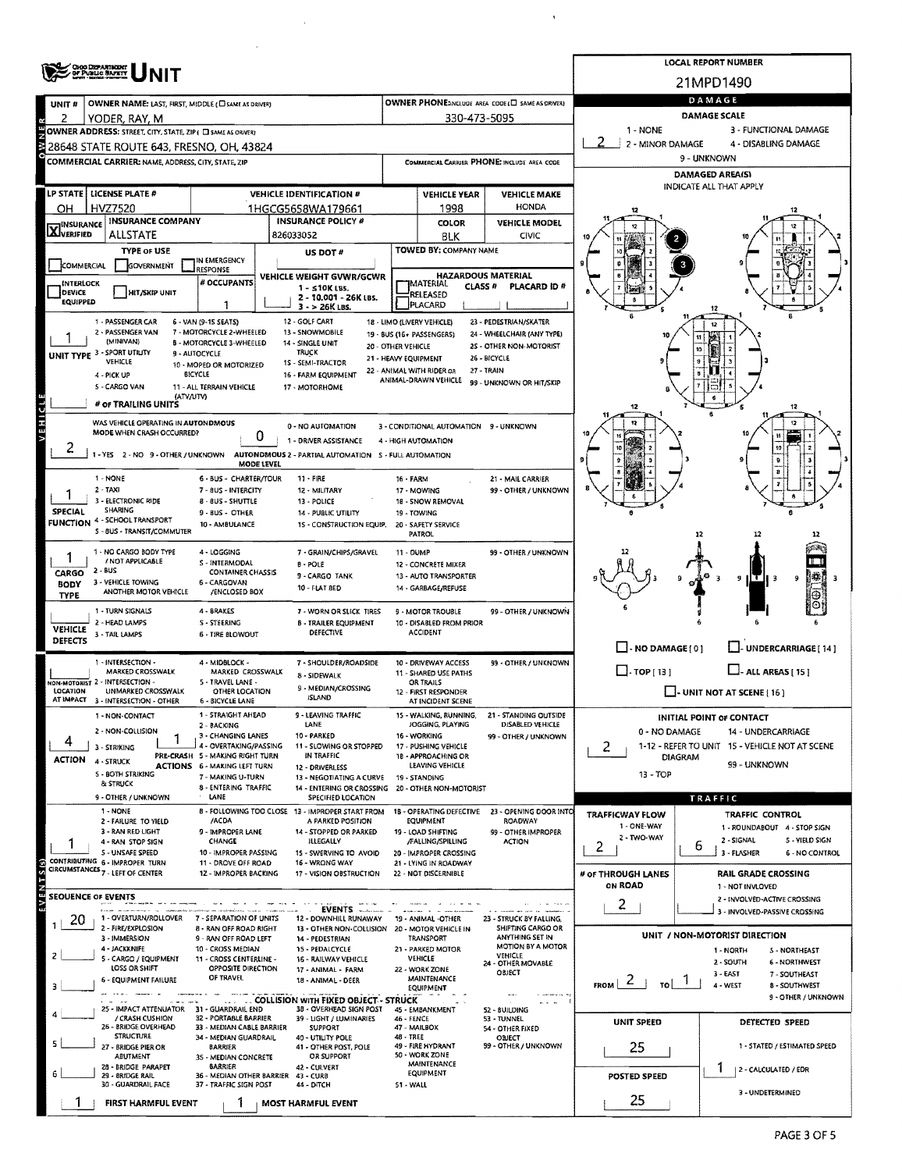|                               |                                                                                                        |                                                                        |                                                                               |                    |                                                               |                                                       |                                       |                | <b>LOCAL REPORT NUMBER</b>                                           |
|-------------------------------|--------------------------------------------------------------------------------------------------------|------------------------------------------------------------------------|-------------------------------------------------------------------------------|--------------------|---------------------------------------------------------------|-------------------------------------------------------|---------------------------------------|----------------|----------------------------------------------------------------------|
|                               | OHIO DEPARTMENT<br>Unit                                                                                |                                                                        |                                                                               |                    |                                                               |                                                       |                                       |                | 21MPD1490                                                            |
| UNIT#                         | <b>OWNER NAME: LAST, FIRST, MIDDLE (L) SAME AS DRIVER)</b>                                             |                                                                        |                                                                               |                    |                                                               | OWNER PHONE:INCLUDE AREA CODE (E SAME AS ORIVER)      |                                       |                | DAMAGE                                                               |
| 2                             | YODER, RAY, M                                                                                          |                                                                        |                                                                               |                    | 330-473-5095                                                  |                                                       |                                       |                | <b>DAMAGE SCALE</b><br>3 - FUNCTIONAL DAMAGE                         |
| 3                             | OWNER ADDRESS: STREET, CITY, STATE, ZIP ( C SAME AS ORVER)<br>28648 STATE ROUTE 643, FRESNO, OH, 43824 |                                                                        |                                                                               |                    |                                                               |                                                       | 1 - NONE<br>2 - MINOR DAMAGE          |                | 4 - DISABLING DAMAGE                                                 |
|                               | COMMERCIAL CARRIER: NAME, ADDRESS, CITY, STATE, ZIP                                                    |                                                                        |                                                                               |                    |                                                               | COMMERCIAL CARRIER PHONE: INCLUDE AREA CODE           |                                       |                | 9 - UNKNOWN                                                          |
|                               |                                                                                                        |                                                                        |                                                                               |                    |                                                               |                                                       |                                       |                | DAMAGED AREA(S)<br>INDICATE ALL THAT APPLY                           |
|                               | LP STATE   LICENSE PLATE #<br>HVZ7520                                                                  |                                                                        | <b>VEHICLE IDENTIFICATION #</b>                                               |                    | <b>VEHICLE YEAR</b>                                           | <b>VEHICLE MAKE</b><br><b>HONDA</b>                   |                                       |                |                                                                      |
| ΟН                            | <b>INSURANCE COMPANY</b>                                                                               |                                                                        | 1HGCG5658WA179661<br><b>INSURANCE POLICY #</b>                                |                    | 1998<br><b>COLOR</b>                                          | <b>VEHICLE MODEL</b>                                  |                                       |                |                                                                      |
| <b>X</b> <sup>INSURANCE</sup> | ALLSTATE                                                                                               |                                                                        | 826033052                                                                     |                    | BLK                                                           | CIVIC                                                 |                                       |                |                                                                      |
| COMMERCIAL                    | <b>TYPE OF USE</b><br><b>GOVERNMENT</b>                                                                | IN EMERGENCY                                                           | US DOT#                                                                       |                    | TOWED BY: COMPANY NAME                                        |                                                       |                                       |                |                                                                      |
| INTERLOCK                     |                                                                                                        | <b>RESPONSE</b><br># OCCUPANTS                                         | <b>VEHICLE WEIGHT GVWR/GCWR</b>                                               |                    | <b>IMATERIAL</b><br>CLASS <sup>#</sup>                        | <b>HAZARDOUS MATERIAL</b><br>PLACARD ID#              |                                       |                |                                                                      |
| DEVICE<br><b>EQUIPPED</b>     | HIT/SKIP UNIT                                                                                          |                                                                        | $1 - 510K$ LBS.<br>2 - 10.001 - 26K LBS.                                      |                    | RELEASED<br>PLACARD                                           |                                                       |                                       |                |                                                                      |
|                               | 1 - PASSENGER CAR                                                                                      | 6 - VAN (9-15 SEATS)                                                   | $3 - 26K$ LBS.<br>12 - GOLF CART                                              |                    | 18 - LIMO (LIVERY VEHICLE)                                    | 23 - PEDESTRIAN/SKATER                                |                                       |                | 12                                                                   |
|                               | 2 - PASSENGER VAN<br>(MINIVAN)                                                                         | 7 - MOTORCYCLE 2-WHEELED<br>B - MOTORCYCLE 3-WHEELED                   | 13 - SNOWMOBILE<br>14 - SINGLE UNIT                                           |                    | 19 - BUS (16+ PASSENGERS)                                     | 24 - WHEELCHAIR (ANY TYPE)<br>2S - OTHER NON-MOTORIST |                                       |                |                                                                      |
|                               | UNIT TYPE 3 - SPORT UTILITY<br>VEHICLE                                                                 | 9 - AUTOCYCLE                                                          | <b>TRUCK</b><br>1S - SEMI-TRACTOR                                             | 20 - OTHER VEHICLE | 21 - HEAVY EQUIPMENT                                          | 26 - BICYCLE                                          |                                       |                |                                                                      |
|                               | 4 - PICK UP                                                                                            | 10 - MOPED OR MOTORIZED<br>BICYCLE                                     | 16 - FARM EQUIPMENT                                                           |                    | 22 - ANIMAL WITH RIDER OR<br>ANIMAL-DRAWN VEHICLE             | 27 - TRAIN<br>99 - UNKNOWN OR HIT/SKIP                |                                       |                |                                                                      |
|                               | 5 - CARGO VAN                                                                                          | 11 - ALL TERRAIN VEHICLE<br>(ATV/UTV)                                  | 17 - MOTORHOME                                                                |                    |                                                               |                                                       |                                       |                |                                                                      |
|                               | # OF TRAILING UNITS                                                                                    |                                                                        |                                                                               |                    |                                                               |                                                       |                                       |                | 12                                                                   |
| VEHICL                        | WAS VEHICLE OPERATING IN AUTONDMOUS<br>MODE WHEN CRASH OCCURRED?                                       | 0                                                                      | 0 - NO AUTOMATION<br>1 - DRIVER ASSISTANCE                                    |                    | 3 - CONDITIONAL AUTOMATION 9 - UNKNOWN<br>4 - HIGH AUTOMATION |                                                       |                                       |                | 12                                                                   |
| ۷                             | 1-YES 2-NO 9-OTHER/UNKNOWN                                                                             |                                                                        | AUTONOMOUS 2 - PARTIAL AUTOMATION 5 - FULL AUTOMATION                         |                    |                                                               |                                                       |                                       |                |                                                                      |
|                               | 1 - NONE                                                                                               | MODE LEVEL<br>6 - BUS - CHARTER/TOUR                                   | $11 - FIRE$                                                                   | 16 - FARM          |                                                               | 21 - MAIL CARRIER                                     |                                       |                |                                                                      |
|                               | $2 - TAXI$                                                                                             | 7 - 8US - INTERCITY                                                    | 12 - MILITARY                                                                 |                    | 17 - MOWING                                                   | 99 - OTHER / UNKNOWN                                  |                                       |                |                                                                      |
| <b>SPECIAL</b>                | 3 - ELECTRONIC RIDE<br>SHARING                                                                         | 8 - BUS - SHUTTLE<br>9-8US OTHER                                       | 13 - POLICE<br>14 - PUBLIC UTILITY                                            |                    | 18 - SNOW REMOVAL<br>19 - TOWING                              |                                                       |                                       |                |                                                                      |
|                               | <b>FUNCTION 4 - SCHOOL TRANSPORT</b><br>S - BUS - TRANSIT/COMMUTER                                     | 10 - AMBULANCE                                                         | 15 - CONSTRUCTION EQUIP.                                                      |                    | 20 - SAFETY SERVICE<br>PATROL                                 |                                                       |                                       | 12             |                                                                      |
|                               | 1 - NO CARGO BODY TYPE                                                                                 | 4 - LOGGING                                                            | 7 - GRAIN/CHIPS/GRAVEL                                                        | <b>11 - DUMP</b>   |                                                               | 99 - OTHER / UNKNOWN                                  |                                       |                |                                                                      |
| CARGO                         | / NOT APPLICABLE<br>$2 - BUS$                                                                          | S - INTERMODAL<br><b>CONTAINER CHASSIS</b>                             | B - POLE                                                                      |                    | 12 - CONCRETE MIXER                                           |                                                       |                                       |                |                                                                      |
| <b>BODY</b>                   | 3 - VEHICLE TOWING<br>ANOTHER MOTOR VEHICLE                                                            | 6 - CARGOVAN<br>/ENCLOSED BOX                                          | 9-CARGO TANK<br>10 - FLAT BED                                                 |                    | 13 - AUTO TRANSPORTER<br>14 - GARBAGE/REFUSE                  |                                                       |                                       |                | - 3                                                                  |
| <b>TYPE</b>                   | 1 - TURN SIGNALS                                                                                       | 4 - BRAKES                                                             | 7 - WORN OR SLICK TIRES                                                       |                    | 9 - MOTOR TROUBLE                                             | 99 - OTHER / UNKNOWN                                  |                                       |                |                                                                      |
| <b>VEHICLE</b>                | 2 - HEAD LAMPS<br>3 - TAIL LAMPS                                                                       | S - STEERING                                                           | <b>B - TRAILER EQUIPMENT</b><br>DEFECTIVE                                     |                    | 10 - DISABLED FROM PRIOR<br><b>ACCIDENT</b>                   |                                                       |                                       |                |                                                                      |
| DEFECTS                       |                                                                                                        | <b>6 - TIRE BLOWOUT</b>                                                |                                                                               |                    |                                                               |                                                       | $\Box$ - NO DAMAGE [ 0 ]              |                | UNDERCARRIAGE [14]                                                   |
|                               | 1 - INTERSECTION -<br><b>MARKED CROSSWALK</b>                                                          | 4 - MIDBLOCK -<br>MARKED CROSSWALK                                     | 7 - SHOULDER/ROADSIDE                                                         |                    | 10 - DRIVEWAY ACCESS                                          | 99 - OTHER / UNKNOWN                                  | $\Box$ -TOP[13]                       |                | $L$ - ALL AREAS [ 15 ]                                               |
| LOCATION                      | HON-MOTORIST 2 - INTERSECTION -<br>UNMARKED CROSSWALK                                                  | 5 - TRAVEL LANE -<br>OTHER LOCATION                                    | 8 - SIDEWALK<br>9 - MEDIAN/CROSSING                                           |                    | 11 - SHARED USE PATHS<br>OR TRAILS<br>12 - FIRST RESPONDER    |                                                       |                                       |                | $\Box$ - UNIT NOT AT SCENE (16)                                      |
|                               | AT IMPACT 3 - INTERSECTION - OTHER                                                                     | <b>6 - BICYCLE LANE</b>                                                | <b>ISLAND</b>                                                                 |                    | AT INCIDENT SCENE                                             |                                                       |                                       |                |                                                                      |
|                               | 1 - NON-CONTACT                                                                                        | 1 - STRAIGHT AHEAD<br>2 - BACKING                                      | 9 - LEAVING TRAFFIC<br>LANE                                                   |                    | 15 - WALKING, RUNNING,<br>JOGGING, PLAYING                    | 21 - STANDING OUTSIDE<br>DISABLED VEHICLE             |                                       |                | INITIAL POINT OF CONTACT                                             |
| 4                             | 2 - NON-COLLISION<br>3 - STRIKING                                                                      | 3 - CHANGING LANES<br>4 - OVERTAKING/PASSING                           | 10 - PARKED<br>11 - SLOWING OR STOPPED                                        |                    | 16 WORKING<br>17 - PUSHING VEHICLE                            | 99 - OTHER / UNKNOWN                                  | 0 - NO DAMAGE<br>2                    |                | 14 - UNDERCARRIAGE<br>1-12 - REFER TO UNIT 15 - VEHICLE NOT AT SCENE |
| <b>ACTION</b>                 | 4 - STRUCK                                                                                             | PRE-CRASH 5 - MAKING RIGHT TURN<br><b>ACTIONS 6 - MAKING LEFT TURN</b> | IN TRAFFIC<br>12 - DRIVERLESS                                                 |                    | 18 - APPROACHING OR<br>LEAVING VEHICLE                        |                                                       |                                       | <b>DIAGRAM</b> | 99 - UNKNOWN                                                         |
|                               | 5 - BOTH STRIKING<br>& STRUCK                                                                          | 7 - MAKING U-TURN<br>8 - ENTERING TRAFFIC                              | 13 - NEGOTIATING A CURVE<br>14 - ENTERING OR CROSSING 20 - OTHER NON-MOTORIST |                    | 19 - STANDING                                                 |                                                       | 13 - TOP                              |                |                                                                      |
|                               | 9 - OTHER / UNKNOWN                                                                                    | LANE                                                                   | <b>SPECIFIED LOCATION</b>                                                     |                    |                                                               |                                                       |                                       |                | <b>TRAFFIC</b>                                                       |
|                               | 1 - NONE<br>2 - FAILURE TO YIELD                                                                       | /ACDA                                                                  | 8 - FOLLOWING TOO CLOSE 13 - IMPROPER START FROM<br>A PARKED POSITION         |                    | 18 - OPERATING DEFECTIVE<br>EQUIPMENT                         | 23 - OPENING DOOR INTO<br>ROADWAY                     | <b>TRAFFICWAY FLOW</b><br>1 - ONE-WAY |                | <b>TRAFFIC CONTROL</b><br>1 - ROUNDABOUT 4 - STOP SIGN               |
|                               | 3 - RAN RED LIGHT<br>4 - RAN STOP SIGN                                                                 | 9 - IMPROPER LANE<br><b>CHANGE</b>                                     | 14 - STOPPED OR PARKED<br><b>ILLEGALLY</b>                                    |                    | 19 - LOAD SHIFTING<br>/FALLING/SPILLING                       | 99 - OTHER IMPROPER<br>ACTION                         | 2 - TWO-WAY                           |                | 2 - SIGNAL<br>5 - YIELD SIGN                                         |
|                               | 5 - UNSAFE SPEED<br>CONTRIBUTING 6 - IMPROPER TURN                                                     | 10 - IMPROPER PASSING<br>11 - DROVE OFF ROAD                           | 15 - SWERVING TO AVOID<br>16 - WRONG WAY                                      |                    | 20 - IMPROPER CROSSING<br>21 - LYING IN ROADWAY               |                                                       | $\overline{a}$                        | ь              | 3 - FLASHER<br><b>6 - NO CONTROL</b>                                 |
| $\frac{5}{5}$                 | CIRCUMSTANCES 7 - LEFT OF CENTER                                                                       | 12 - IMPROPER BACKING                                                  | 17 - VISION OBSTRUCTION                                                       |                    | 22 - NOT DISCERNIBLE                                          |                                                       | # of THROUGH LANES                    |                | <b>RAIL GRADE CROSSING</b>                                           |
| Ŧ                             | <b>SEOUENCE OF EVENTS</b>                                                                              |                                                                        |                                                                               |                    |                                                               |                                                       | ON ROAD                               |                | 1 - NOT INVLOVED<br>2 - INVOLVED-ACTIVE CROSSING                     |
| 20                            | A company company of<br>1 - OVERTURN/ROLLOVER                                                          | 7 - SEPARATION OF UNITS                                                | EVENTS<br>12 - DOWNHILL RUNAWAY                                               |                    | 19 - ANIMAL - OTHER                                           | 23 - STRUCK BY FALLING,                               | 2                                     |                | 3 - INVOLVED-PASSIVE CROSSING                                        |
|                               | 2 - FIRE/EXPLOSION<br>3 - IMMERSION                                                                    | 8 - RAN OFF ROAD RIGHT<br>9 - RAN OFF ROAD LEFT                        | 13 - OTHER NON-COLLISION 20 - MOTOR VEHICLE IN<br>14 - PEDESTRIAN             |                    | TRANSPORT                                                     | SHIFTING CARGO OR<br>ANYTHING SET IN                  |                                       |                | UNIT / NON-MOTORIST DIRECTION                                        |
|                               | 4 - JACKKNIFE<br>5 - CARGO / EQUIPMENT                                                                 | 10 - CROSS MEDIAN<br>11 - CROSS CENTERLINE -                           | 15 - PEDALCYCLE<br>16 - RAILWAY VEHICLE                                       |                    | 21 - PARKED MOTOR<br><b>VEHICLE</b>                           | MOTION BY A MOTOR<br>VEHICLE                          |                                       |                | 1 - NORTH<br>5 - NORTHEAST                                           |
|                               | LOSS OR SHIFT                                                                                          | <b>OPPOSITE DIRECTION</b><br>OF TRAVEL                                 | 17 - ANIMAL - FARM                                                            |                    | 22 - WORK ZONE<br>MAINTENANCE                                 | 24 - OTHER MOVABLE<br>OBJECT                          |                                       |                | 2 - SOUTH<br><b>6 - NORTHWEST</b><br>3 - EAST<br>7 - SOUTHEAST       |
|                               | 6 - EQUIPMENT FAILURE                                                                                  |                                                                        | 18 - ANIMAL - DEER                                                            |                    | EQUIPMENT                                                     | <b><i>CONTRACTOR CALL INC</i></b>                     | $\epsilon$<br><b>FROM</b><br>TO.      |                | 4 - WEST<br><b>B-SOUTHWEST</b><br>9 - OTHER / UNKNOWN                |
|                               | 25 - IMPACT ATTENUATOR 31 - GUARDRAIL END                                                              |                                                                        | COLLISION WITH FIXED OBJECT - STRUCK<br>3B - OVERHEAD SIGN POST               |                    | 45 - EMBANKMENT                                               | 52 - BUILDING                                         |                                       |                |                                                                      |
|                               | / CRASH CUSHION<br>26 - BRIDGE OVERHEAD<br><b>STRUCTURE</b>                                            | 32 - PORTABLE BARRIER<br>33 - MEDIAN CABLE BARRIER                     | 39 - LIGHT / LUMINARIES<br><b>SUPPORT</b>                                     | <b>46 - FENCE</b>  | 47 - MAILBOX                                                  | 53 - TUNNEL<br>54 - OTHER FIXED                       | UNIT SPEED                            |                | DETECTED SPEED                                                       |
|                               | 27 - BRIDGE PIER OR                                                                                    | 34 - MEDIAN GUARDRAIL<br><b>BARRIER</b>                                | 40 - UTILITY POLE<br>41 - OTHER POST, POLE                                    | $48 - TREE$        | 49 - FIRE HYDRANT<br>50 - WORK ZONE                           | OBJECT<br>99 - OTHER / UNKNOWN                        | 25                                    |                | 1 - STATED / ESTIMATED SPEED                                         |
|                               | <b>ABUTMENT</b><br>28 - BRIDGE PARAPET                                                                 | 35 - MEDIAN CONCRETE<br><b>BARRIER</b>                                 | OR SUPPORT<br>42 - CULVERT                                                    |                    | <b>MAINTENANCE</b><br><b>EQUIPMENT</b>                        |                                                       |                                       |                | 2 - CALCULATED / EDR                                                 |
|                               | 29 - BRIDGE RAIL<br>30 - GUARDRAIL FACE                                                                | 36 - MEDIAN OTHER BARRIER 43 - CURB<br>37 - TRAFFIC SIGN POST          | 44 - DITCH                                                                    | 51 - WALL          |                                                               |                                                       | POSTED SPEED                          |                | 3 - UNDETERMINED                                                     |
|                               | <b>FIRST HARMFUL EVENT</b>                                                                             |                                                                        | MOST HARMFUL EVENT                                                            |                    |                                                               |                                                       | 25                                    |                |                                                                      |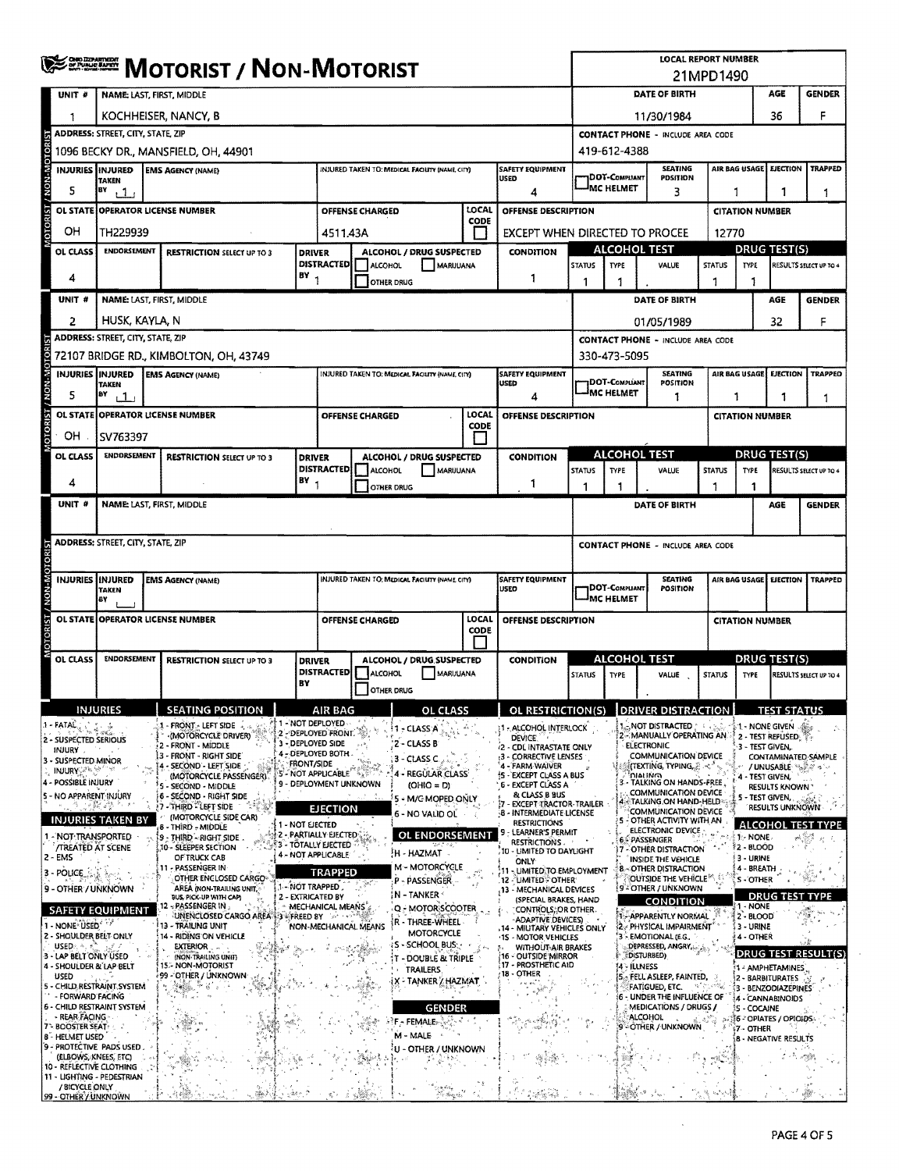| <b>Caro Danaminon</b>                                |                                          |                    | <b>MOTORIST / NON-MOTORIST</b>                                                   |                                      |                                                                                    |                                     |                                                 |               |                                                                             |                        |                                          | <b>LOCAL REPORT NUMBER</b>                                    | 21MPD1490          |                                  |                                         |                               |  |
|------------------------------------------------------|------------------------------------------|--------------------|----------------------------------------------------------------------------------|--------------------------------------|------------------------------------------------------------------------------------|-------------------------------------|-------------------------------------------------|---------------|-----------------------------------------------------------------------------|------------------------|------------------------------------------|---------------------------------------------------------------|--------------------|----------------------------------|-----------------------------------------|-------------------------------|--|
| UNIT #                                               |                                          |                    | <b>NAME: LAST, FIRST, MIDDLE</b>                                                 |                                      |                                                                                    |                                     |                                                 |               |                                                                             |                        |                                          | DATE OF BIRTH                                                 |                    |                                  | AGE                                     | <b>GENDER</b>                 |  |
| 1                                                    |                                          |                    | KOCHHEISER, NANCY, B                                                             |                                      |                                                                                    |                                     |                                                 |               |                                                                             |                        |                                          | 11/30/1984                                                    |                    |                                  | 36                                      | F                             |  |
|                                                      | <b>ADDRESS: STREET, CITY, STATE, ZIP</b> |                    |                                                                                  |                                      |                                                                                    |                                     |                                                 |               |                                                                             |                        |                                          | <b>CONTACT PHONE - INCLUDE AREA CODE</b>                      |                    |                                  |                                         |                               |  |
| <b>OTORI</b>                                         |                                          |                    | 1096 BECKY DR., MANSFIELD, OH, 44901                                             |                                      |                                                                                    |                                     |                                                 |               |                                                                             |                        | 419-612-4388                             |                                                               |                    |                                  |                                         |                               |  |
|                                                      | <b>INJURIES INJURED</b><br><b>TAKEN</b>  |                    | <b>EMS AGENCY (NAME)</b>                                                         |                                      |                                                                                    |                                     | INJURED TAKEN TO: MEDICAL FACILITY (NAME, CITY) |               | <b>SAFETY EQUIPMENT</b><br><b>USED</b>                                      |                        | 1DOT-Compliant                           | <b>SEATING</b><br>POSITION                                    |                    | AIR BAG USAGE                    | EJECTION                                | <b>TRAPPED</b>                |  |
| 5                                                    | BY<br>$\mathbf{1}$                       |                    |                                                                                  |                                      |                                                                                    |                                     |                                                 |               | 4                                                                           |                        | <b>MC HELMET</b>                         | 3                                                             | ı                  |                                  | 1                                       | 1                             |  |
|                                                      |                                          |                    | OL STATE OPERATOR LICENSE NUMBER                                                 |                                      |                                                                                    | OFFENSE CHARGED                     |                                                 | LOCAL<br>CODE | OFFENSE DESCRIPTION                                                         |                        |                                          |                                                               |                    | <b>CITATION NUMBER</b>           |                                         |                               |  |
| OН                                                   | TH229939                                 |                    |                                                                                  |                                      | 4511.43A                                                                           |                                     |                                                 |               | <b>EXCEPT WHEN DIRECTED TO PROCEE</b>                                       |                        |                                          |                                                               | 12770              |                                  |                                         |                               |  |
| OL CLASS                                             |                                          | <b>ENDORSEMENT</b> | <b>RESTRICTION SELECT UP TO 3</b>                                                | <b>DRIVER</b>                        | <b>DISTRACTED</b>                                                                  |                                     | ALCOHOL / DRUG SUSPECTED                        |               | <b>CONDITION</b>                                                            |                        |                                          | <b>ALCOHOL TEST</b>                                           |                    |                                  | <b>DRUG TEST(S)</b>                     |                               |  |
| 4                                                    |                                          |                    |                                                                                  | $BY_1$                               |                                                                                    | <b>ALCOHOL</b><br><b>OTHER DRUG</b> | <b>MARIJUANA</b>                                |               | -1                                                                          | <b>STATUS</b><br>1     | <b>TYPE</b><br>1                         | VALUE                                                         | <b>STATUS</b><br>1 | <b>TYPE</b><br>1                 |                                         | <b>RESULTS SELECT UP TO 4</b> |  |
| UNIT #                                               |                                          |                    | <b>NAME: LAST, FIRST, MIDDLE</b>                                                 |                                      |                                                                                    |                                     |                                                 |               |                                                                             |                        |                                          | DATE OF BIRTH                                                 |                    |                                  | AGE                                     | <b>GENDER</b>                 |  |
| 2                                                    |                                          |                    | HUSK, KAYLA, N                                                                   |                                      |                                                                                    |                                     |                                                 |               |                                                                             |                        |                                          | 01/05/1989                                                    |                    |                                  | 32                                      | F                             |  |
|                                                      | <b>ADDRESS: STREET, CITY, STATE, ZIP</b> |                    |                                                                                  |                                      |                                                                                    |                                     |                                                 |               |                                                                             |                        |                                          | <b>CONTACT PHONE - INCLUDE AREA CODE</b>                      |                    |                                  |                                         |                               |  |
| ros                                                  |                                          |                    | 72107 BRIDGE RD., KIMBOLTON, OH, 43749                                           |                                      |                                                                                    |                                     |                                                 |               |                                                                             |                        | 330-473-5095                             |                                                               |                    |                                  |                                         |                               |  |
|                                                      | <b>INJURIES IINJURED</b><br><b>TAKEN</b> |                    | <b>EMS AGENCY (NAME)</b>                                                         |                                      |                                                                                    |                                     | INJURED TAKEN TO; MEDICAL FACILITY (NAME, CITY) |               | <b>SAFETY EQUIPMENT</b><br>USED                                             |                        | DOT-COMPLIANT                            | SEATING<br><b>POSITION</b>                                    |                    | AIR BAG USAGE                    | <b>EJECTION</b>                         | <b>TRAPPEO</b>                |  |
| 5                                                    | BY<br>1 <sup>t</sup>                     |                    |                                                                                  |                                      |                                                                                    |                                     |                                                 |               | 4                                                                           |                        | IMC HELMET                               | 1                                                             |                    | 1                                |                                         | 1                             |  |
|                                                      |                                          |                    | OL STATE OPERATOR LICENSE NUMBER                                                 |                                      |                                                                                    | OFFENSE CHARGED                     |                                                 | LOCAL<br>CODE | OFFENSE DESCRIPTION                                                         |                        |                                          |                                                               |                    | <b>CITATION NUMBER</b>           |                                         |                               |  |
| OН                                                   | SV763397                                 |                    |                                                                                  |                                      |                                                                                    |                                     |                                                 |               |                                                                             |                        |                                          |                                                               |                    |                                  |                                         |                               |  |
| OL CLASS                                             |                                          | ENDORSEMENT        | <b>RESTRICTION SELECT UP TO 3</b>                                                | <b>DRIVER</b>                        |                                                                                    |                                     | ALCOHOL / DRUG SUSPECTED                        |               | <b>CONDITION</b>                                                            |                        |                                          | ALCOHOL TEST                                                  |                    |                                  | DRUG TEST(S)                            |                               |  |
| 4                                                    |                                          |                    |                                                                                  | $BY_1$                               | <b>DISTRACTED</b>                                                                  | ALCOHOL<br>OTHER DRUG               | MARUUANA                                        |               | -1                                                                          | <b>STATUS</b><br>1     | <b>TYPE</b>                              | VALUE                                                         | <b>STATUS</b><br>1 | TYPE<br>1                        |                                         | RESULTS SELECT UP TO 4        |  |
| UNIT <sup>#</sup>                                    |                                          |                    | <b>NAME: LAST, FIRST, MIDDLE</b>                                                 |                                      |                                                                                    |                                     |                                                 |               |                                                                             |                        |                                          | <b>DATE OF BIRTH</b>                                          |                    |                                  | AGE                                     | <b>GENDER</b>                 |  |
|                                                      |                                          |                    |                                                                                  |                                      |                                                                                    |                                     |                                                 |               |                                                                             |                        |                                          |                                                               |                    |                                  |                                         |                               |  |
|                                                      | <b>ADDRESS: STREET, CITY, STATE, ZIP</b> |                    |                                                                                  |                                      |                                                                                    |                                     |                                                 |               |                                                                             |                        | <b>CONTACT PHONE - INCLUDE AREA CODE</b> |                                                               |                    |                                  |                                         |                               |  |
|                                                      |                                          |                    |                                                                                  |                                      |                                                                                    |                                     |                                                 |               |                                                                             |                        |                                          |                                                               |                    |                                  |                                         |                               |  |
| M-NON                                                | INJURIES INJURED<br>TAKEN                |                    | <b>EMS AGENCY (NAME)</b>                                                         |                                      | <b>SAFETY EQUIPMENT</b><br>INJURED TAKEN TO; MEDICAL FACILITY (NAME, CITY)<br>USED |                                     |                                                 |               |                                                                             |                        | <b>DOT-COMPLIANT</b>                     | <b>SEATING</b><br><b>POSITION</b>                             |                    |                                  | AIR BAG USAGE EJECTION                  | <b>TRAPPED</b>                |  |
|                                                      | BY                                       |                    |                                                                                  |                                      |                                                                                    |                                     |                                                 |               |                                                                             | <sup>J</sup> MC HELMET |                                          |                                                               |                    |                                  |                                         |                               |  |
|                                                      |                                          |                    | OL STATE OPERATOR LICENSE NUMBER                                                 |                                      |                                                                                    | <b>OFFENSE CHARGED</b>              |                                                 | LOCAL<br>CODE | OFFENSE DESCRIPTION                                                         |                        |                                          | <b>CITATION NUMBER</b>                                        |                    |                                  |                                         |                               |  |
|                                                      |                                          | <b>ENDORSEMENT</b> |                                                                                  |                                      |                                                                                    |                                     |                                                 |               |                                                                             |                        |                                          | <b>ALCOHOL TEST</b>                                           |                    |                                  |                                         |                               |  |
| OL CLASS                                             |                                          |                    | <b>RESTRICTION SELECT UP TO 3</b>                                                | <b>DRIVER</b>                        | <b>DISTRACTED</b>                                                                  | ALCOHOL                             | ALCOHOL / DRUG SUSPECTED<br>MARIJUANA           |               | <b>CONDITION</b>                                                            | <b>STATUS</b>          | TYPE                                     | VALUE                                                         | <b>STATUS</b>      | TYPE                             | DRUG TEST(S)                            | RESULTS SELECT UP TO 4        |  |
|                                                      |                                          |                    |                                                                                  | BY                                   |                                                                                    | OTHER DRUG                          |                                                 |               |                                                                             |                        |                                          |                                                               |                    |                                  |                                         |                               |  |
|                                                      | IN IHRIFS                                |                    | SEATING POSITION                                                                 |                                      | AIR RAG                                                                            | н                                   | OL CLASS                                        |               | OL RESTRICTION(S) DRIVER DISTRACTION                                        |                        |                                          |                                                               |                    |                                  | TECT CTATHE                             |                               |  |
| - FATAL<br>2 - SUSPECTED SERIOUS                     |                                          |                    | 1 - FRONT - LEFT SIDE<br><b>MOTORCYCLE DRIVERY</b>                               |                                      | 1 - NOT DEPLOYED<br>2 - DEPLOYED FRONT.                                            |                                     | 1 - CLASS A                                     |               | <b>1 - ALCOHOL INTERLOCK</b><br>DEVICE.                                     |                        |                                          | <b>I NOT DISTRACTED</b><br>2 - MANUALLY OPERATING AN          |                    |                                  | 1 - NONE GIVEN<br>2 - TEST REFUSED      |                               |  |
| INJURY<br>3 - SUSPECTED MINOR                        |                                          |                    | 2 - FRONT - MIDDLE<br>3 - FRONT - RIGHT SIDE                                     | 3 - DEPLOYED SIDE                    | 4 - DEPLOYED BOTH                                                                  |                                     | 2 - CLASS B<br>3 - CLASS C.                     |               | 2 - CDL INTRASTATE ONLY<br>3 - CORRECTIVE LENSES                            |                        |                                          | <b>ELECTRONIC</b><br>COMMUNICATION DEVICE                     |                    | 3 - TEST GIVEN,                  |                                         | CONTAMINATED SAMPLE           |  |
| <b>INJURY</b> A<br>4 - POSSIBLE INJURY               |                                          |                    | SECOND - LEFT SIDE<br>(MOTORCYCLE PASSENGER).                                    | <b>FRONT/SIDE</b>                    | S - NOT APPLICABLE                                                                 |                                     | 4 - REGULAR CLASS                               |               | - FARM WAIVER<br><b>15 - EXCEPT CLASS A BUS</b>                             |                        |                                          | (TEXTING, TYPING, 2)<br>האו ומוח<br>3 - TALKING ON HANDS-FREE |                    | 4 - TEST GIVEN,                  | /UNUSABLE ™‱? a 1                       |                               |  |
| 5 - NO APPARENT INJURY                               |                                          |                    | - SECOND - MIDDLE<br>6 - SECOND - RIGHT SIDE                                     |                                      | 9 - DEPLOYMENT UNKNOWN                                                             |                                     | $(OHIO = D)$<br>5 - M/C MOPED ONLY              |               | <b>6 - EXCEPT CLASS A</b><br>& CLASS B BUS<br><b>EXCEPT TRACTOR-TRAILER</b> |                        |                                          | COMMUNICATION DEVICE<br>4 - TALKING ON HAND-HELD              |                    | 5 - TEST GIVEN,                  | <b>RESULTS KNOWN</b>                    |                               |  |
|                                                      | 解理<br>INJURIES TAKEN BY                  |                    | <b>17 - THIRD FLEFT SIDE</b><br>(MOTORCYCLE SIDE CAR)                            |                                      | <b>EJECTION</b>                                                                    |                                     | 6 - NO VALID OL                                 |               | <b>B - INTERMEDIATE LICENSE</b><br><b>RESTRICTIONS</b>                      |                        |                                          | COMMUNICATION DEVICE<br>5 - OTHER ACTIVITY WITH AN            |                    |                                  | RESULTS UNKNOWN                         |                               |  |
|                                                      | - NOT TRANSPORTED                        |                    | B - THÌRD - MIDDLE<br>9 - THIRD - RIGHT SIDE                                     | 1 - NOT EJECTED                      | 2 - PARTIALLY EJECTED<br><b>3 - TOTALLY EJECTED</b>                                |                                     | <b>OL ENDORSEMENT</b>                           |               | LEARNER'S PERMIT<br>RESTRICTIONS.                                           |                        |                                          | ELECTRONIC DEVICE<br>6 PASSENGER                              |                    | 1:- NONE                         |                                         | <b>ALCOHOL TEST TYPE</b>      |  |
| 2 - EMS                                              | <b>/TREATED AT SCENE</b>                 |                    | 10 - SLEEPER SECTION<br>OF TRUCK CAB                                             |                                      | 4 - NOT APPLICABLE                                                                 |                                     | H - HAZMAT                                      |               | 10 - UMITED TO DAYUGHT<br>ONLY                                              |                        |                                          | <b>17 - OTHER DISTRACTION</b><br>INSIDE THE VEHICLE           |                    | 2 - BLOOD<br>3 - URINE           |                                         |                               |  |
| 3 - POLICE                                           |                                          |                    | 11 - PASSENGER IN<br>OTHER ENCLOSED CARGO®                                       |                                      | <b>TRAPPED</b>                                                                     |                                     | M ~ MOTORCYCLE<br>P - PASSENGER -               |               | - LIMITED TO EMPLOYMENT<br>11.<br>12 - LIMITED OTHER                        |                        |                                          | 8 - OTHER DISTRACTION<br>OUTSIDE THE VEHICLE                  |                    | 4 - BREATH<br>S-OTHER            |                                         |                               |  |
| 9 - OTHER / UNKNOWN                                  |                                          |                    | AREA (NON-TRAILING UNIT,<br>BUS, PICK-UP WITH CAPI                               | 1 - NOT TRAPPED<br>2 - EXTRICATED BY |                                                                                    |                                     | $\mathsf{N}$ – TANKER $\mathsf{\dot{S}}$        |               | 13 - MECHANICAL DEVICES<br>(SPECIAL BRAKES, HAND                            |                        |                                          | 9 - OTHER / UNKNOWN<br><b>CONDITION</b>                       |                    |                                  | <b>DRUG TEST TYPE</b>                   |                               |  |
| 1 - NONE USED <sup>e 17</sup>                        | <b>SAFETY EQUIPMENT</b>                  |                    | <b>PASSENGER IN</b><br>UNENCLOSED CARGO AREA 13 - FREED BY<br>13 - TRAILING UNIT |                                      | MECHANICAL MEANS                                                                   | NON-MECHANICAL MEANS                | Q - MOTOR SCOOTER<br>R - THREE-WHEEL            |               | CONTROLS, OR OTHER.<br>ADAPTIVE DEVICES)                                    |                        |                                          | APPARENTLY NORMAL<br>2 - PHYSICAL IMPAIRMENT                  |                    | · NONE<br>2 - BLOOD<br>3 - URINE |                                         |                               |  |
| 2 - SHOULDER BELT ONLY<br>USED: A. K                 |                                          |                    | 14 - RIDING ON VEHICLE                                                           |                                      |                                                                                    |                                     | <b>MOTORCYCLE</b><br>S - SCHOOL BUS             |               | 14 - MIUTARY VEHICLES ONLY<br>1S - MOTOR VEHICLES                           |                        |                                          | 3 - EMOTIONAL (E.G.,                                          |                    | 4 OTHER                          |                                         |                               |  |
| 3 - LAP BELT ONLY USED<br>4 - SHOULDER & LAP BELT    |                                          |                    | EXTERIOR.<br>(NON-TRAILING UNIT)<br>15 - NON-MOTORIST                            |                                      |                                                                                    |                                     | - DOUBLE & TRIPLE                               |               | <b>WITHOUT AIR BRAKES</b><br>16 - OUTSIDE MIRROR<br>17 - PROSTHETIC AID     |                        |                                          | DEPRESSED, ANGRY<br><b>DISTURBED)</b><br>4 - ILLNESS          |                    |                                  |                                         | <b>DRUG TEST RESULT(S)</b>    |  |
| USED<br>5 - CHILD RESTRAINT SYSTEM                   |                                          |                    | 99 - OTHER / UNKNOWN                                                             |                                      |                                                                                    |                                     | <b>TRAILERS</b><br>X - TANKER / HAZMAT          |               | 18 - OTHER                                                                  |                        |                                          | FELL ASLEEP, FAINTED,<br>FATIGUED, ETC.                       |                    |                                  | 1 - AMPHETAMINES<br>2 - BARBITURATES    |                               |  |
|                                                      | - FORWARD FACING                         |                    |                                                                                  |                                      |                                                                                    |                                     |                                                 |               |                                                                             |                        |                                          | 6 UNDER THE INFLUENCE OF                                      |                    |                                  | 3 - BENZODIAZEPINES<br>4 - CANNABINOIDS |                               |  |
| 6 - CHILD RESTRAINT SYSTEM<br>- REAR FACING          |                                          |                    |                                                                                  |                                      |                                                                                    |                                     | GENDER<br>$\mathbb{R}^2$ F - FEMALE             |               |                                                                             |                        |                                          | MEDICATIONS / DRUGS /<br><b>ALCOHOL</b>                       |                    | <b>S - COCAINE</b>               | 5 - OPIATES / OPIOIDS:                  |                               |  |
| 7° BOOSTER SEAT<br><b>8 - HELMET USED</b>            |                                          |                    |                                                                                  |                                      |                                                                                    |                                     | M - MALE                                        |               | nspi                                                                        |                        |                                          | - OTHER / UNKNOWN                                             |                    | <b>7 - OTHER</b>                 | 8 - NEGATIVE RESULTS                    |                               |  |
| 9 - PROTECTIVE PADS USED<br>10 - REFLECTIVE CLOTHING | (ELBOWS, KNEES, ETC)                     |                    |                                                                                  |                                      |                                                                                    |                                     | U - OTHER / UNKNOWN                             |               |                                                                             |                        |                                          |                                                               |                    |                                  |                                         |                               |  |
| 11 - LIGHTING - PEDESTRIAN                           | / BICYCLE ONLY                           |                    |                                                                                  |                                      |                                                                                    |                                     |                                                 |               |                                                                             |                        |                                          |                                                               |                    |                                  |                                         |                               |  |
| 99 - OTHER / UNKNOWN                                 |                                          |                    |                                                                                  |                                      |                                                                                    |                                     |                                                 |               |                                                                             |                        |                                          |                                                               |                    |                                  |                                         |                               |  |

 $\hat{\boldsymbol{\beta}}$ 

 $\mathbf{x}^{\prime}$